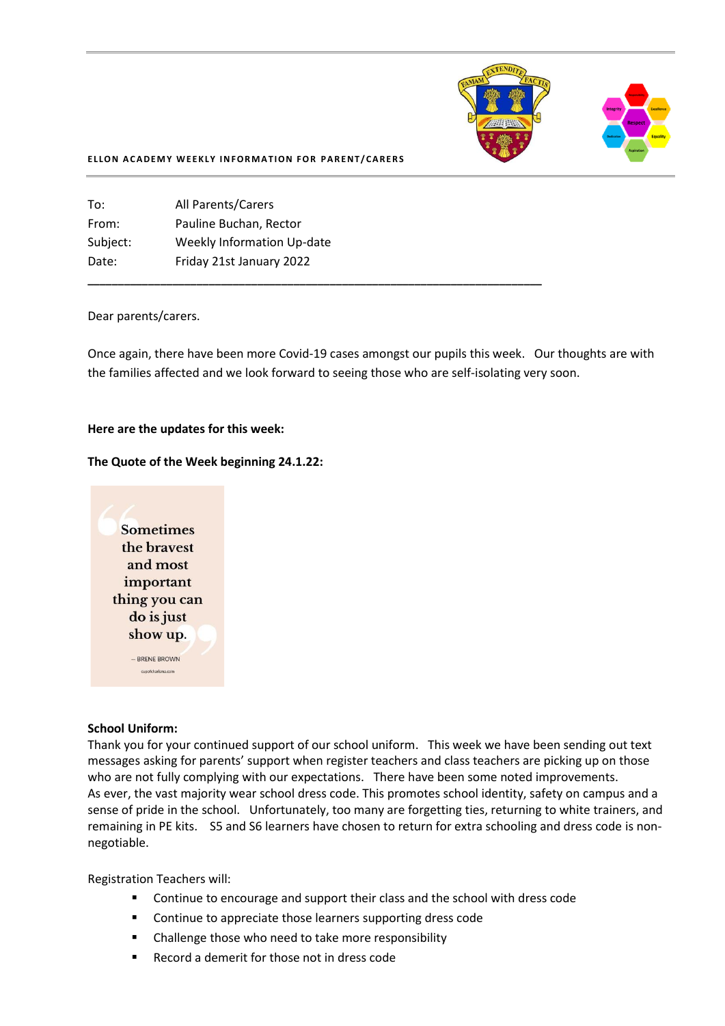

#### **ELLON ACADEMY WEEKLY INFORMATION FOR PARENT/CARERS**

| To:      | All Parents/Carers         |
|----------|----------------------------|
| From:    | Pauline Buchan, Rector     |
| Subject: | Weekly Information Up-date |
| Date:    | Friday 21st January 2022   |
|          |                            |

#### Dear parents/carers.

Once again, there have been more Covid-19 cases amongst our pupils this week. Our thoughts are with the families affected and we look forward to seeing those who are self-isolating very soon.

**\_\_\_\_\_\_\_\_\_\_\_\_\_\_\_\_\_\_\_\_\_\_\_\_\_\_\_\_\_\_\_\_\_\_\_\_\_\_\_\_\_\_\_\_\_\_\_\_\_\_\_\_\_\_\_\_\_\_\_\_\_\_\_\_\_\_\_\_\_\_\_\_\_\_\_**

#### **Here are the updates for this week:**

### **The Quote of the Week beginning 24.1.22:**



#### **School Uniform:**

Thank you for your continued support of our school uniform. This week we have been sending out text messages asking for parents' support when register teachers and class teachers are picking up on those who are not fully complying with our expectations. There have been some noted improvements. As ever, the vast majority wear school dress code. This promotes school identity, safety on campus and a sense of pride in the school. Unfortunately, too many are forgetting ties, returning to white trainers, and remaining in PE kits. S5 and S6 learners have chosen to return for extra schooling and dress code is nonnegotiable.

Registration Teachers will:

- Continue to encourage and support their class and the school with dress code
- Continue to appreciate those learners supporting dress code
- Challenge those who need to take more responsibility
- Record a demerit for those not in dress code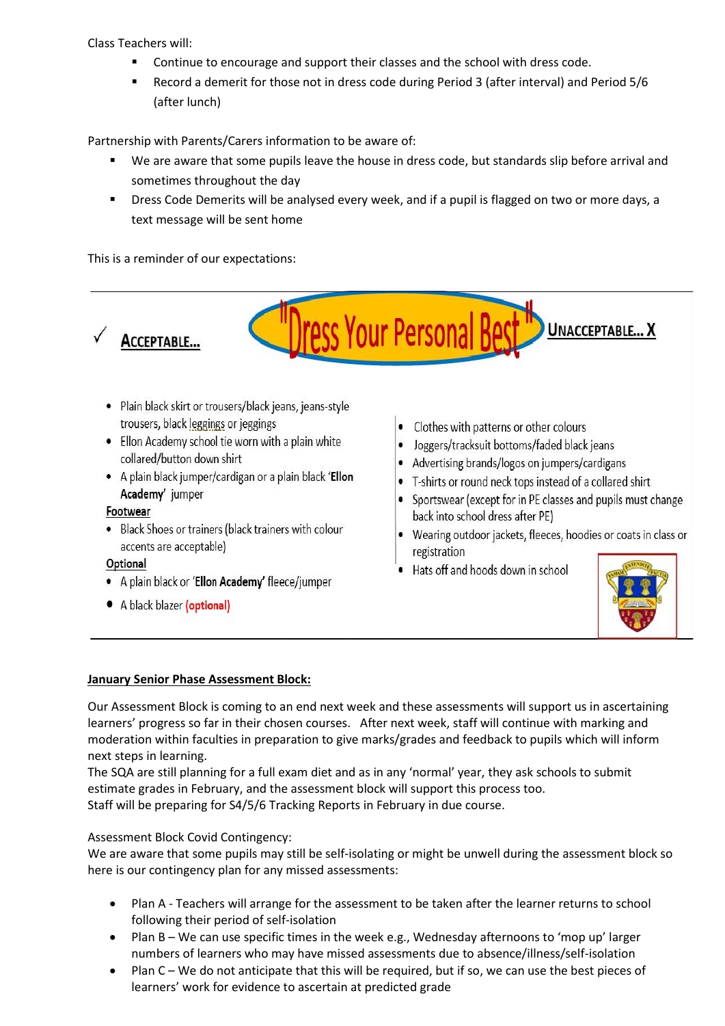Class Teachers will:

- Continue to encourage and support their classes and the school with dress code.
- Record a demerit for those not in dress code during Period 3 (after interval) and Period 5/6 (after lunch)

Partnership with Parents/Carers information to be aware of:

- We are aware that some pupils leave the house in dress code, but standards slip before arrival and sometimes throughout the day
- **■** Dress Code Demerits will be analysed every week, and if a pupil is flagged on two or more days, a text message will be sent home

ress Your Personal Bes

This is a reminder of our expectations:



- · Plain black skirt or trousers/black jeans, jeans-style trousers, black leggings or jeggings
- Ellon Academy school tie worn with a plain white collared/button down shirt
- A plain black jumper/cardigan or a plain black 'Ellon Academy' jumper

## Footwear

• Black Shoes or trainers (black trainers with colour accents are acceptable)

## Optional

- A plain black or 'Ellon Academy' fleece/jumper
- A black blazer (optional)
- Clothes with patterns or other colours
- Joggers/tracksuit bottoms/faded black jeans
- Advertising brands/logos on jumpers/cardigans
- T-shirts or round neck tops instead of a collared shirt
- Sportswear (except for in PE classes and pupils must change back into school dress after PE)
- Wearing outdoor jackets, fleeces, hoodies or coats in class or registration
- Hats off and hoods down in school



**UNACCEPTABLE... X** 

# **January Senior Phase Assessment Block:**

Our Assessment Block is coming to an end next week and these assessments will support us in ascertaining learners' progress so far in their chosen courses. After next week, staff will continue with marking and moderation within faculties in preparation to give marks/grades and feedback to pupils which will inform next steps in learning.

The SQA are still planning for a full exam diet and as in any 'normal' year, they ask schools to submit estimate grades in February, and the assessment block will support this process too. Staff will be preparing for S4/5/6 Tracking Reports in February in due course.

# Assessment Block Covid Contingency:

We are aware that some pupils may still be self-isolating or might be unwell during the assessment block so here is our contingency plan for any missed assessments:

- Plan A Teachers will arrange for the assessment to be taken after the learner returns to school following their period of self-isolation
- Plan B We can use specific times in the week e.g., Wednesday afternoons to 'mop up' larger numbers of learners who may have missed assessments due to absence/illness/self-isolation
- Plan C We do not anticipate that this will be required, but if so, we can use the best pieces of learners' work for evidence to ascertain at predicted grade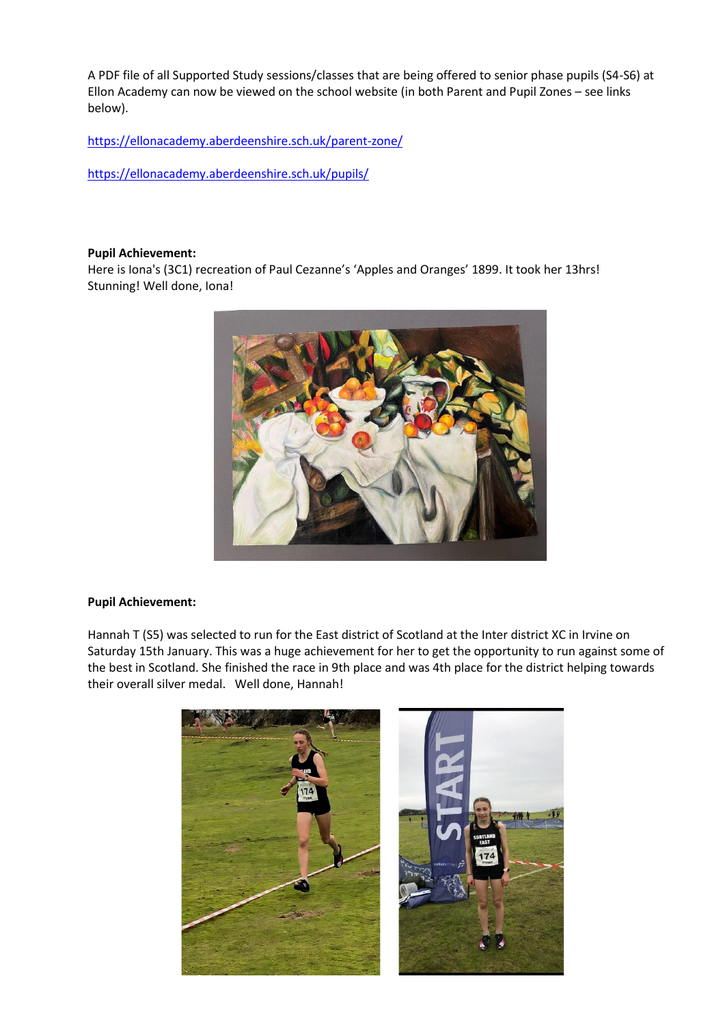A PDF file of all Supported Study sessions/classes that are being offered to senior phase pupils (S4-S6) at Ellon Academy can now be viewed on the school website (in both Parent and Pupil Zones – see links below).

[https://ellonacademy.aberdeenshire.sch.uk/parent-zone/](https://ellonacademy.aberdeenshire.sch.uk/parent-zone/?fbclid=IwAR09MibF8CGXvUA8S-agkl_1bv2CtT2AkO0BgFg7C6Y7ApVSoqKIEDXLPMU)

[https://ellonacademy.aberdeenshire.sch.uk/pupils/](https://ellonacademy.aberdeenshire.sch.uk/pupils/?fbclid=IwAR33zbjsFvGOe_D911u_34_DovwM5iSuUr6W6pb4g8VJDqht4cYiNftO7Bo)

### **Pupil Achievement:**

Here is Iona's (3C1) recreation of Paul Cezanne's 'Apples and Oranges' 1899. It took her 13hrs! Stunning! Well done, Iona!



## **Pupil Achievement:**

Hannah T (S5) was selected to run for the East district of Scotland at the Inter district XC in Irvine on Saturday 15th January. This was a huge achievement for her to get the opportunity to run against some of the best in Scotland. She finished the race in 9th place and was 4th place for the district helping towards their overall silver medal. Well done, Hannah!